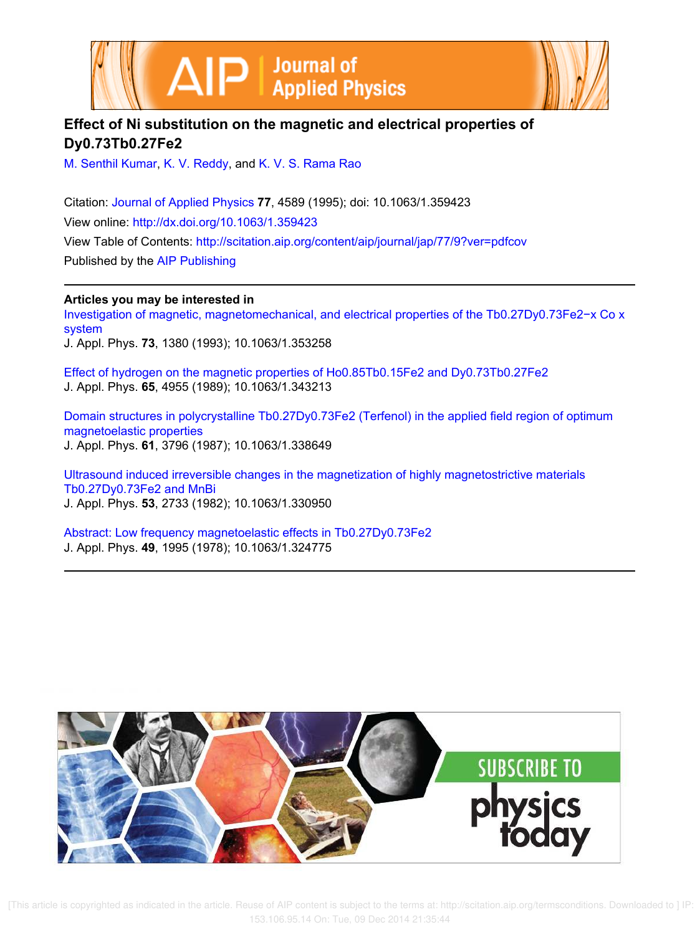



## **Effect of Ni substitution on the magnetic and electrical properties of Dy0.73Tb0.27Fe2**

M. Senthil Kumar, K. V. Reddy, and K. V. S. Rama Rao

Citation: Journal of Applied Physics **77**, 4589 (1995); doi: 10.1063/1.359423 View online: http://dx.doi.org/10.1063/1.359423 View Table of Contents: http://scitation.aip.org/content/aip/journal/jap/77/9?ver=pdfcov Published by the AIP Publishing

**Articles you may be interested in**

Investigation of magnetic, magnetomechanical, and electrical properties of the Tb0.27Dy0.73Fe2−x Co x system J. Appl. Phys. **73**, 1380 (1993); 10.1063/1.353258

Effect of hydrogen on the magnetic properties of Ho0.85Tb0.15Fe2 and Dy0.73Tb0.27Fe2 J. Appl. Phys. **65**, 4955 (1989); 10.1063/1.343213

Domain structures in polycrystalline Tb0.27Dy0.73Fe2 (Terfenol) in the applied field region of optimum magnetoelastic properties J. Appl. Phys. **61**, 3796 (1987); 10.1063/1.338649

Ultrasound induced irreversible changes in the magnetization of highly magnetostrictive materials Tb0.27Dy0.73Fe2 and MnBi J. Appl. Phys. **53**, 2733 (1982); 10.1063/1.330950

Abstract: Low frequency magnetoelastic effects in Tb0.27Dy0.73Fe2 J. Appl. Phys. **49**, 1995 (1978); 10.1063/1.324775



 [This article is copyrighted as indicated in the article. Reuse of AIP content is subject to the terms at: http://scitation.aip.org/termsconditions. Downloaded to ] IP: 153.106.95.14 On: Tue, 09 Dec 2014 21:35:44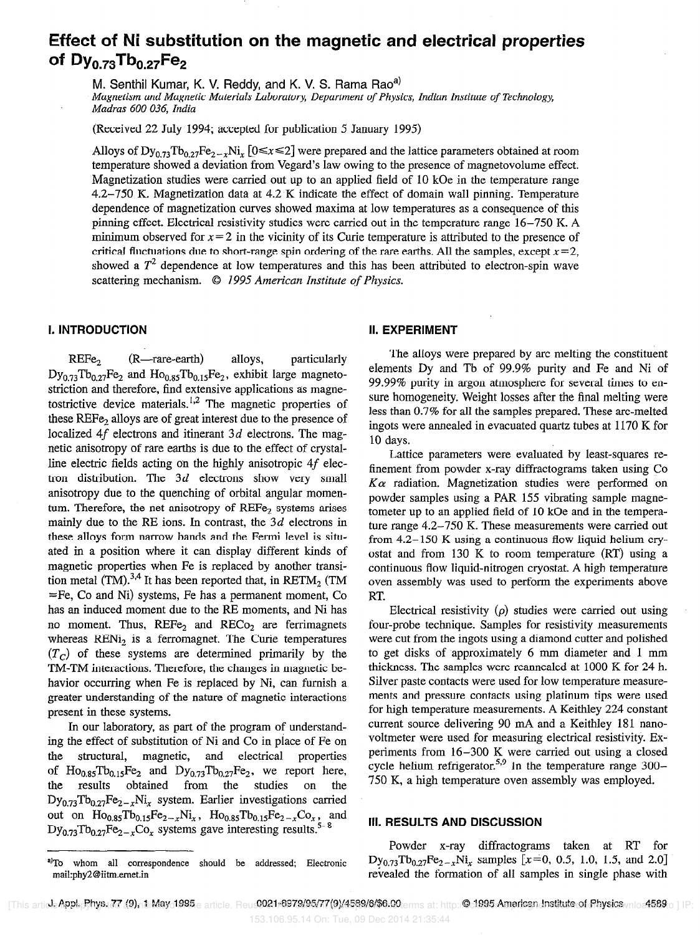# Effect of Ni substitution on the magnetic and electrical propertie of  $Dy_{0.73}Tb_{0.27}Fe_2$

M. Senthil Kumar, K. V. Reddy, and K. V. S. Rama Rao<sup>a)</sup>

Magnetism and Magnetic Materials Laboratory, Department of Physics, Indian Institute of Technology, Madras 600 036, India

(Received 22 July 1994; accepted for publication 5 January 1995)

Alloys of  $Dy_{0.73}Tb_{0.27}Fe_{2-x}Ni_x$  [0 $\leq x \leq 2$ ] were prepared and the lattice parameters obtained at room temperature showed a deviation from Vegard's law owing to the presence of magnetovolume effect. Magnetization studies were carried out up to an applied field of 10 kOe in the temperature range 4.2-750 K. Magnetization data at 4.2 K indicate the effect of domain wall pinning. Temperature dependence of magnetization curves showed maxima at low temperatures as a consequence of this pinning effect. Electrical resistivity studies were carried out in the temperature range 16-750 K. A minimum observed for  $x=2$  in the vicinity of its Curie temperature is attributed to the presence of critical fluctuations due to short-range spin ordering of the rare earths. All the samples, except  $x=2$ , showed a  $T^2$  dependence at low temperatures and this has been attributed to electron-spin wave scattering mechanism. © 1995 American Institute of Physics.

### II. INTRODUCTION II. EXPERIMENT

 $REFe_2$   $(R—rare-earth)$  alloys, particularly  $Dy_{0.73}Tb_{0.27}Fe_2$  and  $Ho_{0.85}Tb_{0.15}Fe_2$ , exhibit large magnetostriction and therefore, find extensive applications as magnetostrictive device materials.<sup>1,2</sup> The magnetic properties of these REFe, alloys are of great interest due to the presence of localized 4f electrons and itinerant 3d electrons. The magnetic anisotropy of rare earths is due to the effect of crystalline electric fields acting on the highly anisotropic 4f electron distribution. The  $3d$  electrons show very small anisotropy due to the quenching of orbital angular momentum. Therefore, the net anisotropy of REFe, systems arises mainly due to the RE ions. In contrast, the  $3d$  electrons in these alloys form narrow bands and the Fermi level is situated in a position where it can display different kinds of magnetic properties when Fe is replaced by another transition metal (TM).<sup>3,4</sup> It has been reported that, in RETM<sub>2</sub> (TM  $=$  Fe, Co and Ni) systems, Fe has a permanent moment, Co has an induced moment due to the RE moments, and Ni has no moment. Thus,  $REFe<sub>2</sub>$  and  $RECo<sub>2</sub>$  are ferrimagnets whereas REN<sub>i</sub>, is a ferromagnet. The Curie temperatures  $(T<sub>C</sub>)$  of these systems are determined primarily by the TM-TM interactions. Therefore, the changes in magnetic behavior occurring when Fe is replaced by Ni, can furnish a greater understanding of the nature of magnetic interactions present in these systems.

In our laboratory, as part of the program of understanding the effect of substitution of Ni and Co in piace of Fe on the structural, magnetic, and electrical properties of  $Ho_{0.85}Tb_{0.15}Fe_2$  and  $Dy_{0.73}Tb_{0.27}Fe_2$ , we report here, the results obtained from the studies on the  $Dy_{0,73}Tb_{0,27}Fe_{2,\pi}Ni_{\pi}$  system. Earlier investigations carried out on  $Ho_{0.85}Tb_{0.15}Fe_{2-x}Ni_x$ ,  $Ho_{0.85}Tb_{0.15}Fe_{2-x}Co_x$ , and  $Dy_{0.73}Tb_{0.27}Fe_{2-x}Co_x$  systems gave interesting results.<sup>5</sup>

The alloys were prepared by arc melting the constituent elements Dy and Tb of 99.9% purity and Fe and Ni of 99.99% purity in argon atmosphere for several times to ensure homogeneity. Weight losses after the final melting were less than 0.7% for all the samples prepared. These arc-melted ingots were annealed in evacuated quartz tubes at 1170 K for 10 days.

Lattice parameters were evaluated by least-squares refinement from powder x-ray diffractograms taken using Co  $K\alpha$  radiation. Magnetization studies were performed on powder samples using a PAR 155 vibrating sample magnetometer up to an applied field of 10 kOe and in the temperature range 4.2-750 K. These measurements were carried out from 4.2-150 K using a continuous flow liquid helium cryostat and from 130 K to room temperature (RT) using a continuous flow liquid-nitrogen cryostat. A high temperature oven assembly was used to perform the experiments above RT.

Electrical resistivity  $(\rho)$  studies were carried out using four-probe technique. Samples for resistivity measurements were cut from the ingots using a diamond cutter and polished to get disks of approximately 6 mm diameter and 1 mm thickness. The samples were reannealed at 1000 K for 24 h. Silver paste contacts were used for low temperature measurements and pressure contacts using platinum tips were used for high temperature measurements. A Keithley 224 constant current source delivering 90 mA and a Keithley 181 nanovoltmeter were used for measuring electrical resistivity. Experiments from 16-300 K were carried out using a closed cycle helium refrigerator.<sup>5,9</sup> In the temperature range  $300-$ 750 K, a high temperature oven assembly was employed.

### Ill. RESULTS AND DISCUSSION

Powder x-ray diffractograms taken at RT for  $Dy_{0.73}Tb_{0.27}Fe_{2-x}Ni_x$  samples [x=0, 0.5, 1.0, 1.5, and 2.0] revealed the formation of all samples in single phase with

a)To whom all correspondence should be addressed; Electronic mail:phy2@iitm.ernet.in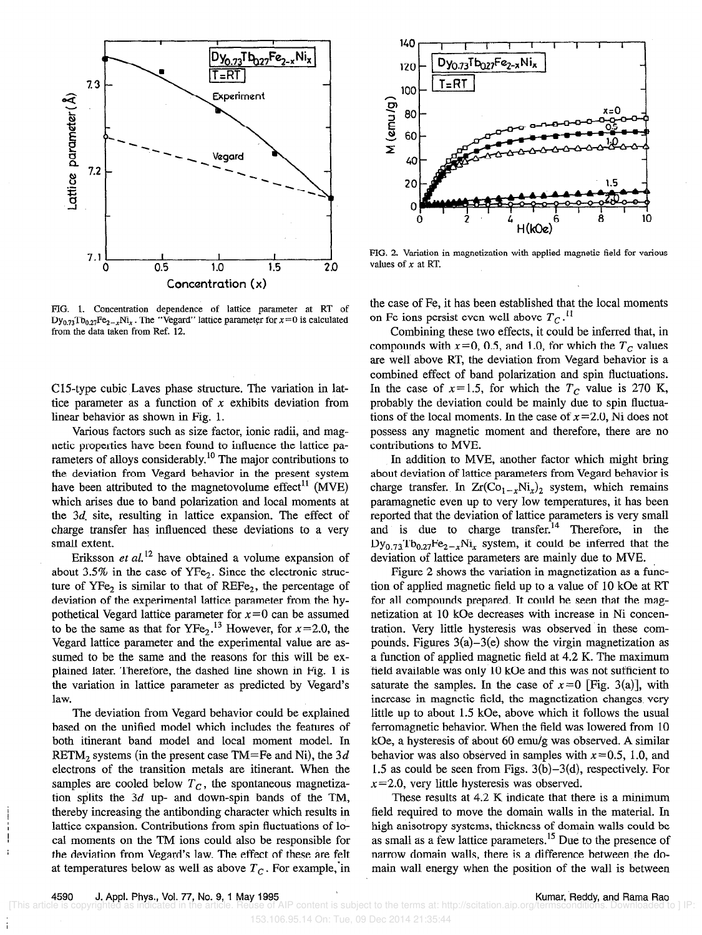

FIG. 1. Concentration dependence of lattice parameter at RT of  $Dy_{0.73}Tb_{0.27}Fe_{2-x}Ni_x$ . The "Vegard" lattice parameter for  $x=0$  is calculated from the data taken from Ref. 12.

ClS-type cubic Laves phase structure. The variation in lattice parameter as a function of  $x$  exhibits deviation from linear behavior as shown in Fig. 1.

Various factors such as size factor, ionic radii, and magnetic properties have been found to influence the lattice parameters of alloys considerably.<sup>10</sup> The major contributions to the deviation from Vegard behavior in the present system have been attributed to the magnetovolume effect<sup>11</sup> (MVE) which arises due to band polarization and local moments at the 3d. site, resulting in lattice expansion. The effect of charge transfer has influenced these deviations to a very smaIl extent.

Eriksson et  $al$ <sup>12</sup> have obtained a volume expansion of about 3.5% in the case of  $YFe<sub>2</sub>$ . Since the electronic structure of  $YFe<sub>2</sub>$  is similar to that of  $REF_2$ , the percentage of deviation of the experimental lattice parameter from the hypothetical Vegard lattice parameter for  $x=0$  can be assumed to be the same as that for  $YFe<sub>2</sub>$ .<sup>13</sup> However, for  $x=2.0$ , the Vegard lattice parameter and the experimental value are assumed to be the same and the reasons for this will be explained later. Therefore, the dashed line shown in Fig. 1 is the variation in lattice parameter as predicted by Vegard's law.

The deviation from Vegard behavior could be explained based on the unified model which includes the features of both itinerant band model and local moment model. In RETM<sub>2</sub> systems (in the present case TM=Fe and Ni), the  $3d$ electrons of the transition metals are itinerant. When the samples are cooled below  $T_c$ , the spontaneous magnetization splits the  $3d$  up- and down-spin bands of the TM, thereby increasing the antibonding character which results in Influential lattice expansion. Contributions from spin fluctuations of lo-<br>  $\begin{bmatrix} 1 & 0 \\ 0 & -1 \end{bmatrix}$  and moments on the TM ions could also be responsible for cal moments on the TM ions could also be responsible for the deviation from Vegard's law. The effect of these are felt at temperatures below as well as above  $T_c$ . For example, in



FIG. 2. Variation in magnetization with applied magnetic field for various values of  $x$  at RT.

the case of Fe, it has been established that the local moments on Fe ions persist even well above  $T_c$ .<sup>11</sup>

Combining these two effects, it could be inferred that, in compounds with  $x=0$ , 0.5, and 1.0, for which the  $T_c$  values are well above RT, the deviation from Vegard behavior is a combined effect of band polarization and spin tluctuations. In the case of  $x=1.5$ , for which the  $T_c$  value is 270 K, probably the deviation could be mainly due to spin fluctuations of the local moments. In the case of  $x=2.0$ , Ni does not possess any magnetic moment and therefore, there are no contributions to MVE.

In addition to MVE, another factor which might bring about deviation of lattice parameters from Vegard behavior is charge transfer. In  $Zr(Co_{1-x}Ni_x)_2$  system, which remains paramagnetic even up to very low temperatures, it has been reported that the deviation of lattice parameters is very small and is due to charge transfer.<sup>14</sup> Therefore, in the  $Dy_{0.73}Tb_{0.27}Fe_{2-x}Ni_x$  system, it could be inferred that the deviation of lattice parameters are mainly due to MVE.

Figure 2 shows the variation in magnetization as a function of applied magnetic field up to a value of 10 kOe at RT for all compounds prepared. It could be seen that the magnetization at 10 kOe decreases with increase in Ni concentration. Very little hysteresis was observed in these compounds. Figures  $3(a)-3(e)$  show the virgin magnetization as a function of applied magnetic field at 4.2 K. The maximum field available was only 10 kOe and this was not sufficient to saturate the samples. In the case of  $x=0$  [Fig. 3(a)], with increase in magnetic field, the magnetization changes very little up to about 1.5 kOe, above which it follows the usual ferromagnetic behavior. When the field was lowered from 10 kOe, a hysteresis of about 60 emu/g was observed. A similar behavior was also observed in samples with  $x = 0.5$ , 1.0, and 1.5 as could be seen from Figs. 3(b)-3(d), respectively. For  $x=2.0$ , very little hysteresis was observed.

These results at 4.2 K indicate that there is a minimum field required to move the domain walls in the material. In high anisotropy systems, thickness of domain walls could be as small as a few lattice parameters.<sup>15</sup> Due to the presence of narrow domain walls, there is a difference between the domain wall energy when the position of the wall is between

f.

153.106.95.14 On: Tue, 09 Dec 2014 21:35:44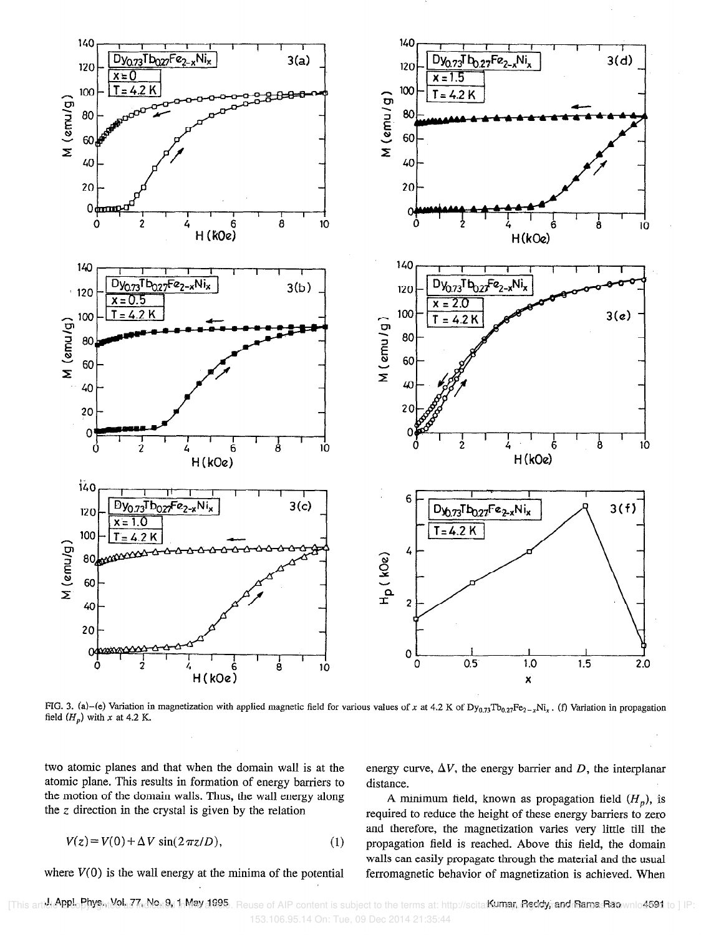

FIG. 3. (a)-(e) Variation in magnetization with applied magnetic field for various values of x at 4.2 K of  $Dy_{0.73}Tb_{0.27}Fe_{2-x}Ni_x$ . (f) Variation in propagation field  $(H_p)$  with x at 4.2 K.

two atomic planes and that when the domain wall is at the atomic plane. This results in formation of energy barriers to the motion of the domain walls. Thus, the wall energy along the  $z$  direction in the crystal is given by the relation

$$
V(z) = V(0) + \Delta V \sin(2\pi z/D), \qquad (1)
$$

where  $V(0)$  is the wall energy at the minima of the potential

energy curve,  $\Delta V$ , the energy barrier and D, the interplanar distance.

A minimum field, known as propagation field  $(H_p)$ , is required to reduce the height of these energy barriers to zero and therefore, the magnetization varies very little till the propagation field is reached. Above this field, the domain walls can easily propagate through the material and the usual ferromagnetic behavior of magnetization is achieved. When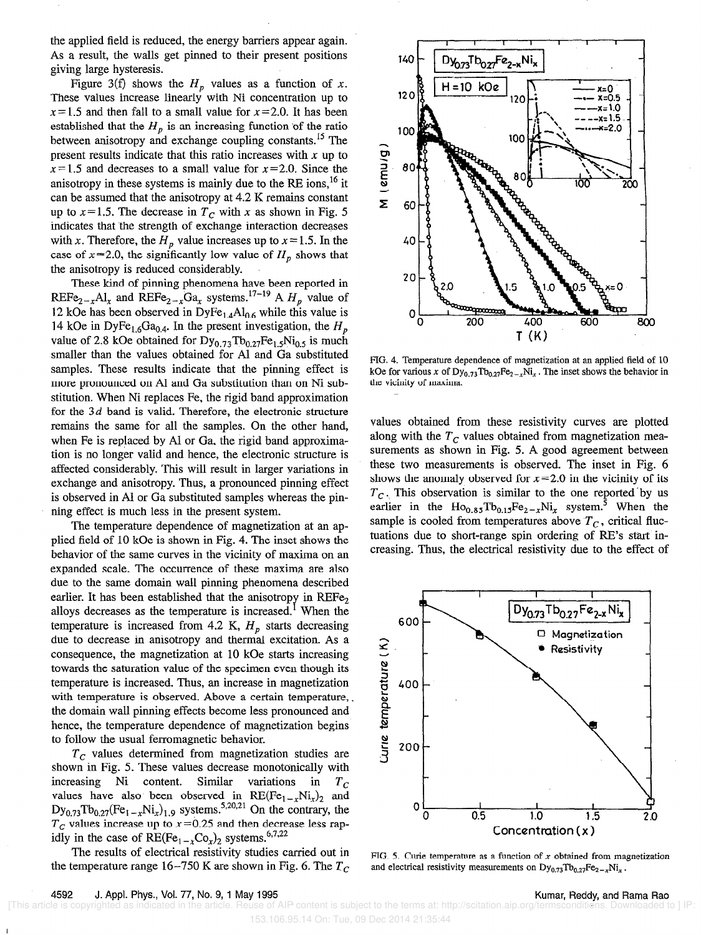the applied field is reduced, the energy barriers appear again. As a result, the walls get pinned to their present positions giving large hysteresis.

Figure 3(f) shows the  $H_p$  values as a function of x. These values increase linearly with Ni concentration up to  $x=1.5$  and then fall to a small value for  $x=2.0$ . It has been established that the  $H_p$  is an increasing function of the ratio between anisotropy and exchange coupling constants.<sup>15</sup> The present results indicate that this ratio increases with  $x$  up to  $x=1.5$  and decreases to a small value for  $x=2.0$ . Since the anisotropy in these systems is mainly due to the RE ions,  $^{16}$  it can be assumed that the anisotropy at 4.2 K remains constant up to  $x=1.5$ . The decrease in  $T_c$  with x as shown in Fig. 5 indicates that the strength of exchange interaction decreases with x. Therefore, the  $H_p$  value increases up to  $x = 1.5$ . In the case of  $x=2.0$ , the significantly low value of  $H_p$  shows that the anisotropy is reduced considerably.

These kind of pinning phenomena have been reported in REFe<sub>2-x</sub>Al<sub>x</sub> and REFe<sub>2-x</sub>Ga<sub>x</sub> systems.<sup>17-19</sup> A  $H_p$  value of 12 kOe has been observed in  $\text{DyFe}_{1.4}\text{Al}_{0.6}$  while this value is 14 kOe in DyFe<sub>1.6</sub>Ga<sub>0.4</sub>. In the present investigation, the H<sub>n</sub> value of 2.8 kOe obtained for  $Dy_{0.73}Tb_{0.27}Fe_{1.5}Ni_{0.5}$  is much smaller than the values obtained for Al and Ga substituted samples. These results indicate that the pinning effect is more pronounced on Al and Ga substitution than on Ni substitution. When Ni replaces Fe, the rigid band approximation for the  $3d$  band is valid. Therefore, the electronic structure remains the same for all the samples. On the other hand, when Fe is replaced by Al or Ga, the rigid band approximation is no longer valid and hence, the electronic structure is affected considerably. This will result in larger variations in exchange and anisotropy. Thus, a pronounced pinning effect is observed in Al or Ga substituted samples whereas the pinning effect is much less in the present system.

The temperature dependence of magnetization at an applied field of 10 kOe is shown in Fig. 4. The inset shows the behavior of the same curves in the vicinity of maxima on an expanded scale. The occurrence of these maxima are also due to the same domain wall pinning phenomena described earlier. It has been established that the anisotropy in  $REFe_{2}$ alloys decreases as the temperature is increased.' When the temperature is increased from 4.2 K,  $H_p$  starts decreasing due to decrease in anisotropy and thermal excitation. As a consequence, the magnetization at 10 kOe starts increasing towards the saturation value of the specimen even though its temperature is increased. Thus, an increase in magnetization with temperature is observed. Above a certain temperature, the domain wall pinning effects become less pronounced and hence, the temperature dependence of magnetization begins to follow the usual ferromagnetic behavior.

 $T_c$  values determined from magnetization studies are shown in Fig. 5. These values decrease monotonically with increasing Ni content. Similar variations in  $T_c$ values have also been observed in  $RE(Fe_{1-x}Ni_x)_2$  and  $\text{Dy}_{0.73} \text{To}_{0.27}(\text{Fe}_{1-x} \text{Ni}_x)_{1.9}$  systems.<sup>3,20,21</sup> On the contrary, the  $T_c$  values increase up to  $x=0.25$  and then decrease less rapidly in the case of  $RE(Fe_{1-x}Co_x)_2$  systems.<sup>6,7,22</sup>

The results of electrical resistivity studies carried out in the temperature range 16-750 K are shown in Fig. 6. The  $T_c$ 

153.106.95.14 On: Tue, 09 Dec 2014 21:35:44



FIG. 4. Temperature dependence of magnetization at an applied field of 10 kOe for various x of  $Dy_{0.73}Tb_{0.27}Fe_{2-x}Ni_x$ . The inset shows the behavior in the vicinity of maxima.

values obtained from these resistivity curves are plotted along with the  $T_c$  values obtained from magnetization measurements as shown in Fig. 5. A good agreement between these two measurements is observed. The inset in Fig. 6 shows the anomaly observed for  $x=2.0$  in the vicinity of its  $T_c$ . This observation is similar to the one reported by us earlier in the  $\text{Ho}_{0.85}\text{Nb}_{0.15}\text{Fe}_{2-x}\text{Ni}_x$  system.<sup>5</sup> When the sample is cooled from temperatures above  $T_c$ , critical fluctuations due to short-range spin ordering of RE's start increasing. Thus, the electrical resistivity due to the effect of



FIG. 5. Curie temperature as a function of  $x$  obtained from magnetization and electrical resistivity measurements on  $Dy_{0.73}Tb_{0.27}Fe_{2-x}Ni_x$ .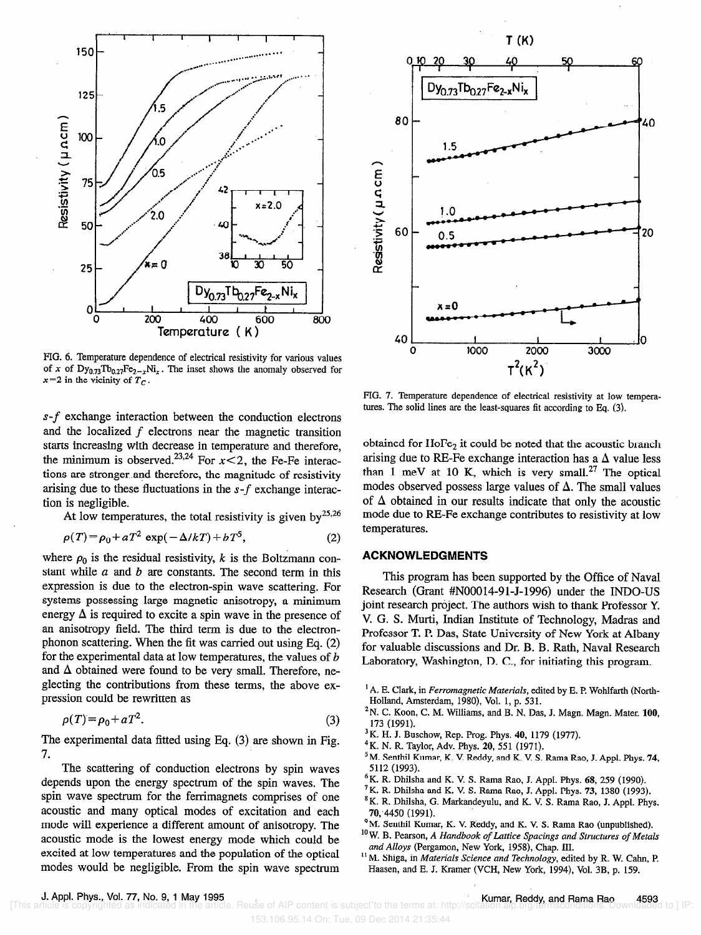

FIG. 6. Temperature dependence of electrical resistivity for various values of x of  $Dy_{0.73}Tb_{0.27}Fe_{2-x}Ni_x$ . The inset shows the anomaly observed for  $x=2$  in the vicinity of  $T_c$ .

 $s-f$  exchange interaction between the conduction electrons and the localized  $f$  electrons near the magnetic transition starts increasing with decrease in temperature and therefore, the minimum is observed.<sup>23,24</sup> For  $x < 2$ , the Fe-Fe interactions are stronger and therefore, the magnitude of resistivity arising due to these fluctuations in the  $s$ - $f$  exchange interaction is negligible.

At low temperatures, the total resistivity is given by  $25,26$ 

$$
\rho(T) = \rho_0 + aT^2 \exp(-\Delta/kT) + bT^5,
$$
 (2)

where  $\rho_0$  is the residual resistivity, k is the Boltzmann constant while  $a$  and  $b$  are constants. The second term in this expression is due to the electron-spin wave scattering. For systems possessing large magnetic anisotropy, a minimum energy  $\Delta$  is required to excite a spin wave in the presence of an anisotropy field. The third term is due to the electronphonon scattering. When the fit was carried out using Eq. (2) for the experimental data at low temperatures, the values of b and  $\Delta$  obtained were found to be very small. Therefore, neglecting the contributions from these terms, the above expression could be rewritten as

$$
\rho(T) = \rho_0 + aT^2. \tag{3}
$$

The experimental data fitted using Eq. (3) are shown in Fig. 7.

The scattering of conduction electrons by spin waves depends upon the energy spectrum of the spin waves. The spin wave spectrum for the ferrimagnets comprises of one acoustic and many optical modes of excitation and each mode will experience a different amount of anisotropy. The acoustic mode is the lowest energy mode which could be excited at low temperatures and the population of the optical modes would be negligible. From the spin wave spectrum



FIG. 7. Temperature dependence of electrical resistivity at low temperatures. The solid lines are the least-squares fit according to Eq. (3).

obtained for HoFe<sub>2</sub> it could be noted that the acoustic branch arising due to RE-Fe exchange interaction has a  $\Delta$  value less than 1 meV at 10 K, which is very small.<sup>27</sup> The optical modes observed possess large values of  $\Delta$ . The small values of  $\Delta$  obtained in our results indicate that only the acoustic mode due to RE-Fe exchange contributes to resistivity at low temperatures.

### ACKNOWLEDGMENTS

This program has been supported by the Office of Naval Research (Grant #NOOO14-91-J-1996) under the INDO-US joint research project. The authors wish to thank Professor Y. V. G. S. Murti, Indian Institute of Technology, Madras and Professor T. P. Das, State University of New York at Albany for valuable discussions and Dr. B. B. Rath, Naval Research Laboratory, Washington, D. C., for initiating this program.

- 3K. H. J. Buschow, Rep. Prog. Phys. 40, 1179 (1977).
- 4K. N. R. Taylor, Adv. Phys. 20, 551 (1971).
- <sup>5</sup>M. Senthil Kumar, K. V. Reddy, and K. V. S. Rama Rao, J. Appl. Phys. 74, 5112 (1993).
- ${}^{6}$ K. R. Dhilsha and K. V. S. Rama Rao, J. Appl. Phys. 68, 259 (1990).
- 7K. R. Dhilsha and K. V. S. Rama Rao, J. Appl. Phys. 73, 1380 (1993).
- <sup>8</sup>K. R. Dhilsha, G. Markandeyulu, and K. V. S. Rama Rao, J. Appl. Phys. 70;4450 (1991).
- <sup>9</sup>M. Senthil Kumar, K. V. Reddy, and K. V. S. Rama Rao (unpublished).
- $10$ W. B. Pearson, A Handbook of Lattice Spacings and Structures of Metals and Alloys (Pergamon, New York, 1958). Chap. III.
- <sup>11</sup> M. Shiga, in *Materials Science and Technology*, edited by R. W. Cahn, P. Haasen, and E. J. Kramer (VCH, New York, 1994), Vol. 3B, p. 159.

J. Appl. Phys., Vol. 77, No. 9, 1 May 1995<br>rticle is copyrighted as indicated in the article. Reuse of AIP content is subject to the terms at: http://scitation.ap.org/termsconditions. Downloaded to ] IP

 $<sup>1</sup>$  A. E. Clark, in *Ferromagnetic Materials*, edited by E. P. Wohlfarth (North-</sup> Holland, Amsterdam, 1980), Vol. 1, p. 531.

 $2N$ . C. Koon, C. M. Williams, and B. N. Das, J. Magn. Magn. Mater. 100, 173 (1991).